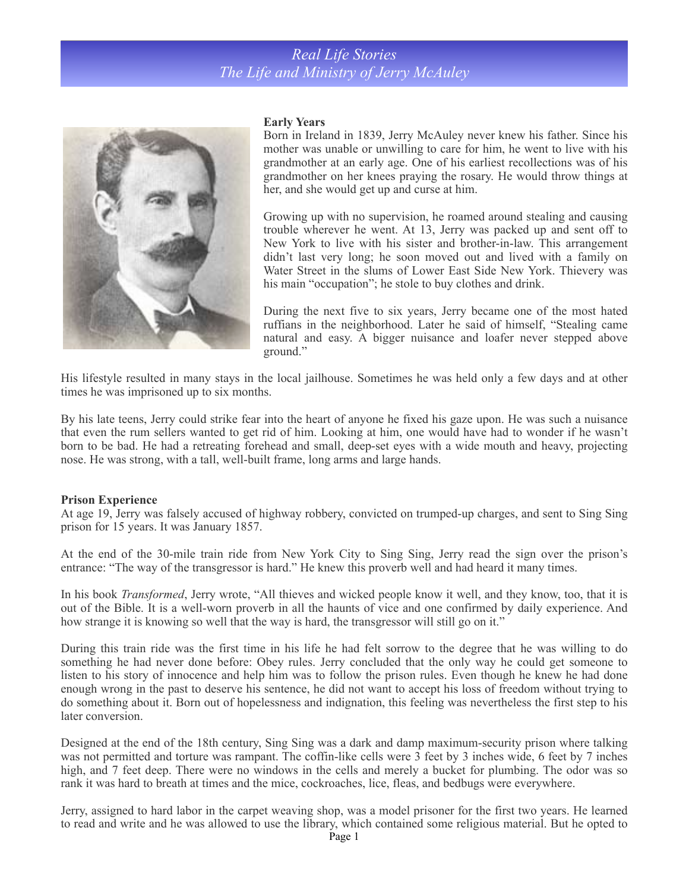# *Real Life Stories The Life and Ministry of Jerry McAuley*



#### **Early Years**

Born in Ireland in 1839, Jerry McAuley never knew his father. Since his mother was unable or unwilling to care for him, he went to live with his grandmother at an early age. One of his earliest recollections was of his grandmother on her knees praying the rosary. He would throw things at her, and she would get up and curse at him.

Growing up with no supervision, he roamed around stealing and causing trouble wherever he went. At 13, Jerry was packed up and sent off to New York to live with his sister and brother-in-law. This arrangement didn't last very long; he soon moved out and lived with a family on Water Street in the slums of Lower East Side New York. Thievery was his main "occupation"; he stole to buy clothes and drink.

During the next five to six years, Jerry became one of the most hated ruffians in the neighborhood. Later he said of himself, "Stealing came natural and easy. A bigger nuisance and loafer never stepped above ground."

His lifestyle resulted in many stays in the local jailhouse. Sometimes he was held only a few days and at other times he was imprisoned up to six months.

By his late teens, Jerry could strike fear into the heart of anyone he fixed his gaze upon. He was such a nuisance that even the rum sellers wanted to get rid of him. Looking at him, one would have had to wonder if he wasn't born to be bad. He had a retreating forehead and small, deep-set eyes with a wide mouth and heavy, projecting nose. He was strong, with a tall, well-built frame, long arms and large hands.

#### **Prison Experience**

At age 19, Jerry was falsely accused of highway robbery, convicted on trumped-up charges, and sent to Sing Sing prison for 15 years. It was January 1857.

At the end of the 30-mile train ride from New York City to Sing Sing, Jerry read the sign over the prison's entrance: "The way of the transgressor is hard." He knew this proverb well and had heard it many times.

In his book *Transformed*, Jerry wrote, "All thieves and wicked people know it well, and they know, too, that it is out of the Bible. It is a well-worn proverb in all the haunts of vice and one confirmed by daily experience. And how strange it is knowing so well that the way is hard, the transgressor will still go on it."

During this train ride was the first time in his life he had felt sorrow to the degree that he was willing to do something he had never done before: Obey rules. Jerry concluded that the only way he could get someone to listen to his story of innocence and help him was to follow the prison rules. Even though he knew he had done enough wrong in the past to deserve his sentence, he did not want to accept his loss of freedom without trying to do something about it. Born out of hopelessness and indignation, this feeling was nevertheless the first step to his later conversion.

Designed at the end of the 18th century, Sing Sing was a dark and damp maximum-security prison where talking was not permitted and torture was rampant. The coffin-like cells were 3 feet by 3 inches wide, 6 feet by 7 inches high, and 7 feet deep. There were no windows in the cells and merely a bucket for plumbing. The odor was so rank it was hard to breath at times and the mice, cockroaches, lice, fleas, and bedbugs were everywhere.

Jerry, assigned to hard labor in the carpet weaving shop, was a model prisoner for the first two years. He learned to read and write and he was allowed to use the library, which contained some religious material. But he opted to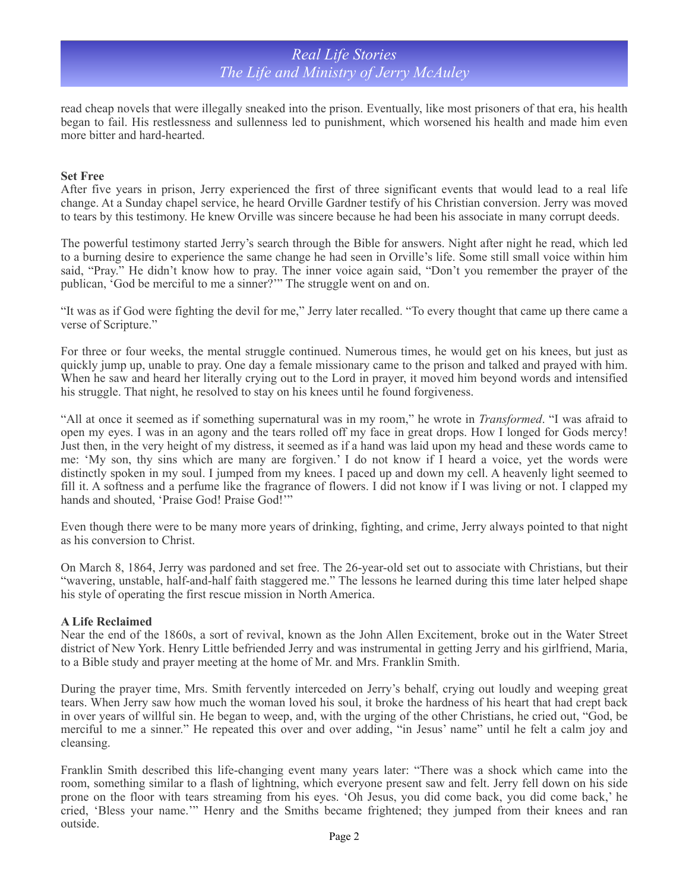# *Real Life Stories The Life and Ministry of Jerry McAuley*

read cheap novels that were illegally sneaked into the prison. Eventually, like most prisoners of that era, his health began to fail. His restlessness and sullenness led to punishment, which worsened his health and made him even more bitter and hard-hearted.

### **Set Free**

After five years in prison, Jerry experienced the first of three significant events that would lead to a real life change. At a Sunday chapel service, he heard Orville Gardner testify of his Christian conversion. Jerry was moved to tears by this testimony. He knew Orville was sincere because he had been his associate in many corrupt deeds.

The powerful testimony started Jerry's search through the Bible for answers. Night after night he read, which led to a burning desire to experience the same change he had seen in Orville's life. Some still small voice within him said, "Pray." He didn't know how to pray. The inner voice again said, "Don't you remember the prayer of the publican, 'God be merciful to me a sinner?'" The struggle went on and on.

"It was as if God were fighting the devil for me," Jerry later recalled. "To every thought that came up there came a verse of Scripture."

For three or four weeks, the mental struggle continued. Numerous times, he would get on his knees, but just as quickly jump up, unable to pray. One day a female missionary came to the prison and talked and prayed with him. When he saw and heard her literally crying out to the Lord in prayer, it moved him beyond words and intensified his struggle. That night, he resolved to stay on his knees until he found forgiveness.

"All at once it seemed as if something supernatural was in my room," he wrote in *Transformed*. "I was afraid to open my eyes. I was in an agony and the tears rolled off my face in great drops. How I longed for Gods mercy! Just then, in the very height of my distress, it seemed as if a hand was laid upon my head and these words came to me: 'My son, thy sins which are many are forgiven.' I do not know if I heard a voice, yet the words were distinctly spoken in my soul. I jumped from my knees. I paced up and down my cell. A heavenly light seemed to fill it. A softness and a perfume like the fragrance of flowers. I did not know if I was living or not. I clapped my hands and shouted, 'Praise God! Praise God!'"

Even though there were to be many more years of drinking, fighting, and crime, Jerry always pointed to that night as his conversion to Christ.

On March 8, 1864, Jerry was pardoned and set free. The 26-year-old set out to associate with Christians, but their "wavering, unstable, half-and-half faith staggered me." The lessons he learned during this time later helped shape his style of operating the first rescue mission in North America.

## **A Life Reclaimed**

Near the end of the 1860s, a sort of revival, known as the John Allen Excitement, broke out in the Water Street district of New York. Henry Little befriended Jerry and was instrumental in getting Jerry and his girlfriend, Maria, to a Bible study and prayer meeting at the home of Mr. and Mrs. Franklin Smith.

During the prayer time, Mrs. Smith fervently interceded on Jerry's behalf, crying out loudly and weeping great tears. When Jerry saw how much the woman loved his soul, it broke the hardness of his heart that had crept back in over years of willful sin. He began to weep, and, with the urging of the other Christians, he cried out, "God, be merciful to me a sinner." He repeated this over and over adding, "in Jesus' name" until he felt a calm joy and cleansing.

Franklin Smith described this life-changing event many years later: "There was a shock which came into the room, something similar to a flash of lightning, which everyone present saw and felt. Jerry fell down on his side prone on the floor with tears streaming from his eyes. 'Oh Jesus, you did come back, you did come back,' he cried, 'Bless your name.'" Henry and the Smiths became frightened; they jumped from their knees and ran outside.